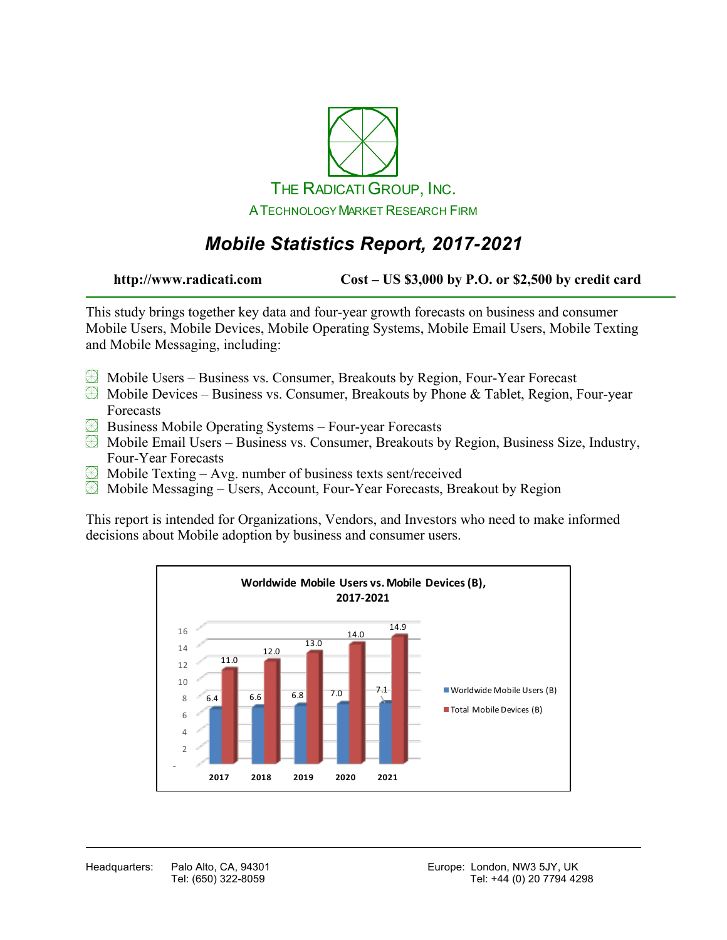

# *Mobile Statistics Report, 2017-2021*

**http://www.radicati.com Cost – US \$3,000 by P.O. or \$2,500 by credit card**

This study brings together key data and four-year growth forecasts on business and consumer Mobile Users, Mobile Devices, Mobile Operating Systems, Mobile Email Users, Mobile Texting and Mobile Messaging, including:

- Mobile Users Business vs. Consumer, Breakouts by Region, Four-Year Forecast
- $\boxtimes$  Mobile Devices Business vs. Consumer, Breakouts by Phone & Tablet, Region, Four-year Forecasts
- Business Mobile Operating Systems Four-year Forecasts
- $\boxtimes$  Mobile Email Users Business vs. Consumer, Breakouts by Region, Business Size, Industry, Four-Year Forecasts
- $\boxplus$  Mobile Texting Avg. number of business texts sent/received
- Mobile Messaging Users, Account, Four-Year Forecasts, Breakout by Region

This report is intended for Organizations, Vendors, and Investors who need to make informed decisions about Mobile adoption by business and consumer users.

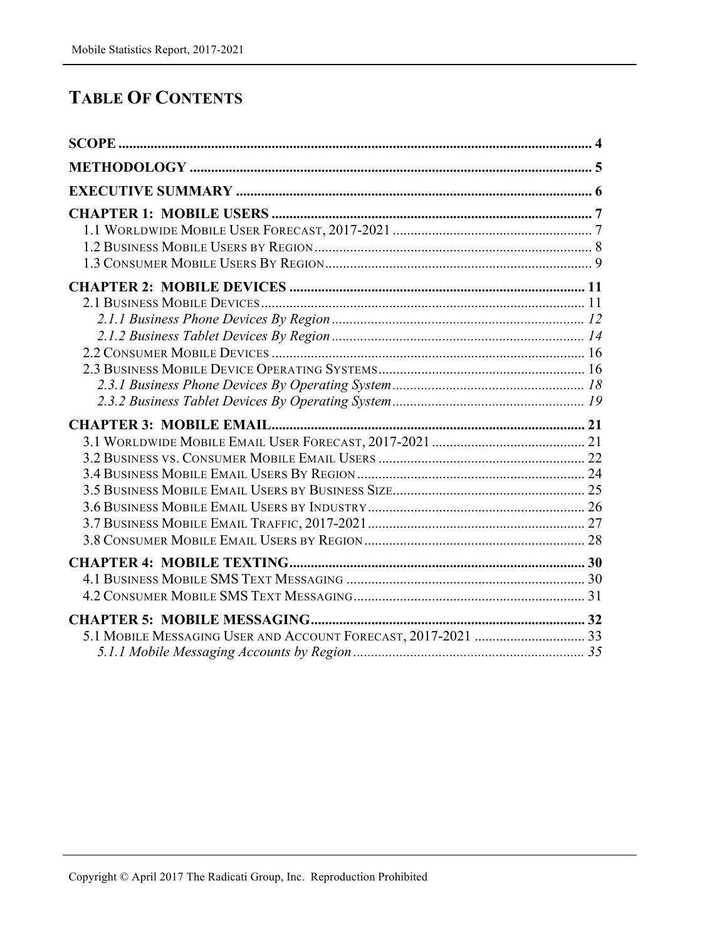### **TABLE OF CONTENTS**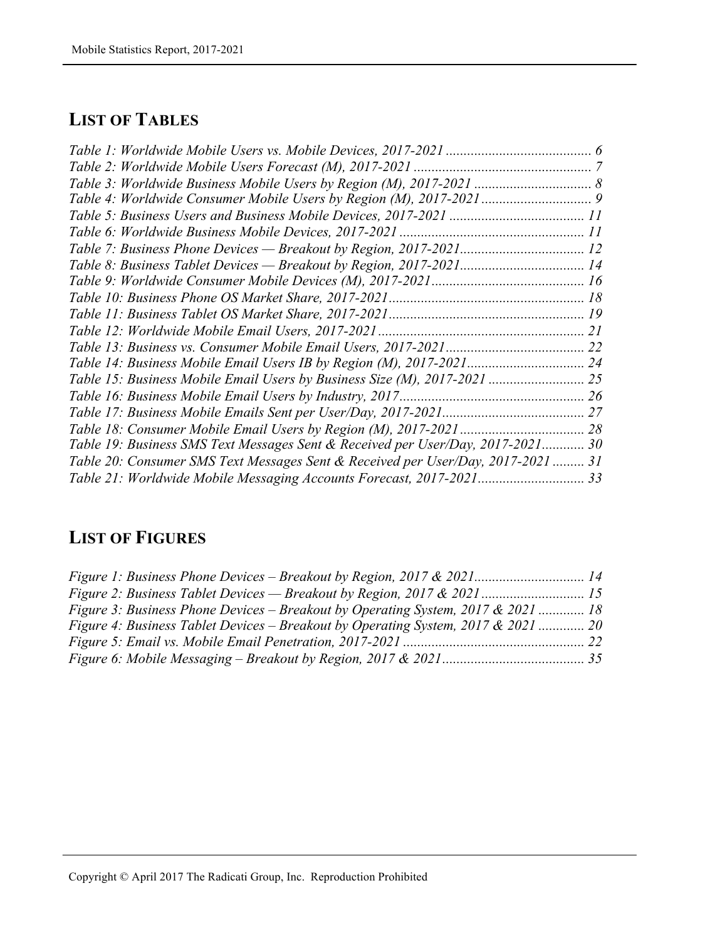#### **LIST OF TABLES**

| Table 19: Business SMS Text Messages Sent & Received per User/Day, 2017-2021 30  |  |
|----------------------------------------------------------------------------------|--|
| Table 20: Consumer SMS Text Messages Sent & Received per User/Day, 2017-2021  31 |  |
| Table 21: Worldwide Mobile Messaging Accounts Forecast, 2017-2021 33             |  |

## **LIST OF FIGURES**

| Figure 1: Business Phone Devices – Breakout by Region, 2017 & 2021 14             |  |
|-----------------------------------------------------------------------------------|--|
| Figure 2: Business Tablet Devices — Breakout by Region, 2017 & 2021 15            |  |
| Figure 3: Business Phone Devices – Breakout by Operating System, 2017 & 2021  18  |  |
| Figure 4: Business Tablet Devices – Breakout by Operating System, 2017 & 2021  20 |  |
|                                                                                   |  |
|                                                                                   |  |